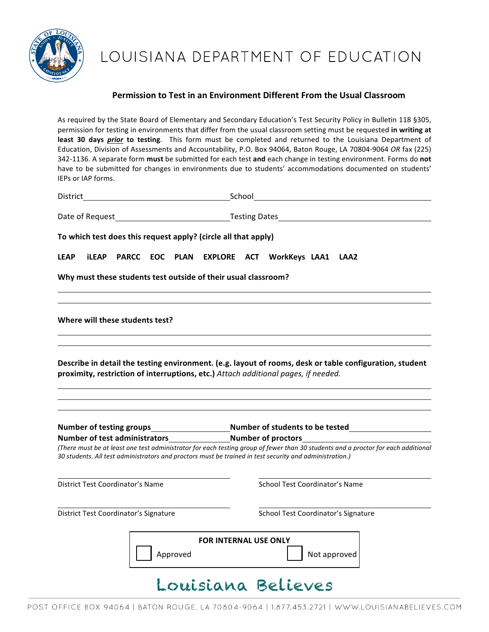

# LOUISIANA DEPARTMENT OF EDUCATION

#### **Permission to Test in an Environment Different From the Usual Classroom**

As required by the State Board of Elementary and Secondary Education's Test Security Policy in Bulletin 118 §305, permission for testing in environments that differ from the usual classroom setting must be requested in writing at least 30 days *prior* to testing. This form must be completed and returned to the Louisiana Department of Education, Division of Assessments and Accountability, P.O. Box 94064, Baton Rouge, LA 70804-9064 OR fax (225) 342-1136. A separate form must be submitted for each test and each change in testing environment. Forms do not have to be submitted for changes in environments due to students' accommodations documented on students' IEPs or IAP forms.

| District                                         |              |                                         | School |                                |                                                                                                                                                                                               |                                                                                                                                   |  |  |                                     |  |  |  |  |  |
|--------------------------------------------------|--------------|-----------------------------------------|--------|--------------------------------|-----------------------------------------------------------------------------------------------------------------------------------------------------------------------------------------------|-----------------------------------------------------------------------------------------------------------------------------------|--|--|-------------------------------------|--|--|--|--|--|
|                                                  |              |                                         |        |                                |                                                                                                                                                                                               |                                                                                                                                   |  |  |                                     |  |  |  |  |  |
|                                                  |              |                                         |        |                                | To which test does this request apply? (circle all that apply)                                                                                                                                |                                                                                                                                   |  |  |                                     |  |  |  |  |  |
| <b>LEAP</b>                                      | <b>iLEAP</b> | <b>PARCC</b>                            | EOC    | PLAN                           | EXPLORE ACT WorkKeys LAA1 LAA2                                                                                                                                                                |                                                                                                                                   |  |  |                                     |  |  |  |  |  |
|                                                  |              |                                         |        |                                | Why must these students test outside of their usual classroom?                                                                                                                                |                                                                                                                                   |  |  |                                     |  |  |  |  |  |
|                                                  |              | Where will these students test?         |        |                                |                                                                                                                                                                                               |                                                                                                                                   |  |  |                                     |  |  |  |  |  |
|                                                  |              |                                         |        |                                | Describe in detail the testing environment. (e.g. layout of rooms, desk or table configuration, student<br>proximity, restriction of interruptions, etc.) Attach additional pages, if needed. |                                                                                                                                   |  |  |                                     |  |  |  |  |  |
| <b>Number of testing groups</b>                  |              |                                         |        |                                |                                                                                                                                                                                               | <b>Solution Sumber of students to be tested</b>                                                                                   |  |  |                                     |  |  |  |  |  |
| Number of test administrators Number of proctors |              |                                         |        |                                |                                                                                                                                                                                               | (There must be at least one test administrator for each testing group of fewer than 30 students and a proctor for each additional |  |  |                                     |  |  |  |  |  |
|                                                  |              |                                         |        |                                | 30 students. All test administrators and proctors must be trained in test security and administration.)                                                                                       |                                                                                                                                   |  |  |                                     |  |  |  |  |  |
|                                                  |              | <b>District Test Coordinator's Name</b> |        | School Test Coordinator's Name |                                                                                                                                                                                               |                                                                                                                                   |  |  |                                     |  |  |  |  |  |
| District Test Coordinator's Signature            |              |                                         |        |                                |                                                                                                                                                                                               |                                                                                                                                   |  |  | School Test Coordinator's Signature |  |  |  |  |  |
|                                                  |              |                                         |        | Approved                       | <b>FOR INTERNAL USE ONLY</b>                                                                                                                                                                  |                                                                                                                                   |  |  | Not approved                        |  |  |  |  |  |
|                                                  |              |                                         |        |                                | Ouisiana Believes                                                                                                                                                                             |                                                                                                                                   |  |  |                                     |  |  |  |  |  |